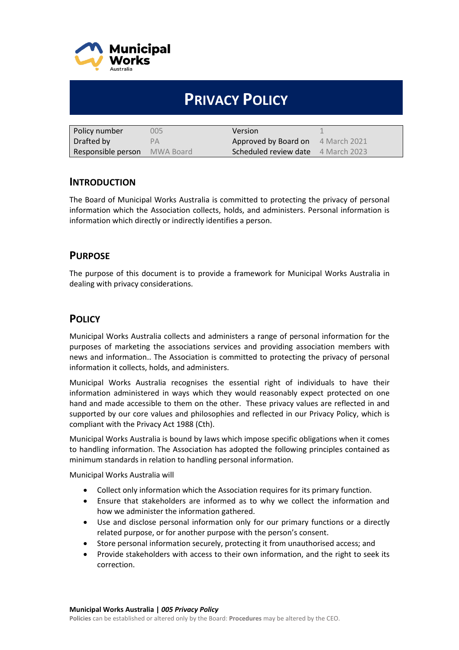

# **PRIVACY POLICY**

| Policy number                       | 005 | Version                                   |  |
|-------------------------------------|-----|-------------------------------------------|--|
| Drafted by                          | PА  | Approved by Board on 4 March 2021         |  |
| <b>Responsible person</b> MWA Board |     | <b>Scheduled review date</b> 4 March 2023 |  |

# **INTRODUCTION**

The Board of Municipal Works Australia is committed to protecting the privacy of personal information which the Association collects, holds, and administers. Personal information is information which directly or indirectly identifies a person.

# **PURPOSE**

The purpose of this document is to provide a framework for Municipal Works Australia in dealing with privacy considerations.

# **POLICY**

Municipal Works Australia collects and administers a range of personal information for the purposes of marketing the associations services and providing association members with news and information.. The Association is committed to protecting the privacy of personal information it collects, holds, and administers.

Municipal Works Australia recognises the essential right of individuals to have their information administered in ways which they would reasonably expect protected on one hand and made accessible to them on the other. These privacy values are reflected in and supported by our core values and philosophies and reflected in our Privacy Policy, which is compliant with the Privacy Act 1988 (Cth).

Municipal Works Australia is bound by laws which impose specific obligations when it comes to handling information. The Association has adopted the following principles contained as minimum standards in relation to handling personal information.

Municipal Works Australia will

- Collect only information which the Association requires for its primary function.
- Ensure that stakeholders are informed as to why we collect the information and how we administer the information gathered.
- Use and disclose personal information only for our primary functions or a directly related purpose, or for another purpose with the person's consent.
- Store personal information securely, protecting it from unauthorised access; and
- Provide stakeholders with access to their own information, and the right to seek its correction.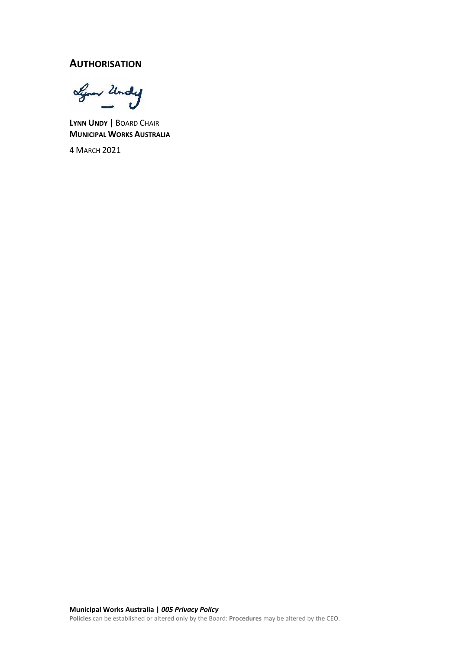# **AUTHORISATION**

Lynn Undy

**LYNN UNDY |** BOARD CHAIR **MUNICIPAL WORKS AUSTRALIA**

4 MARCH 2021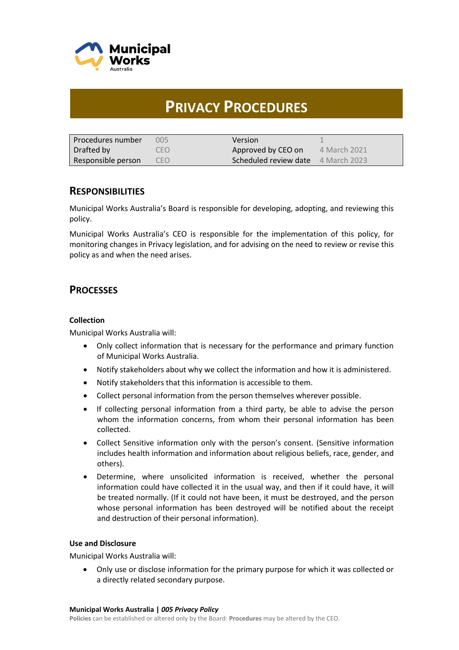

# **PRIVACY PROCEDURES**

| l Procedures number | 005  | Version                                   |              |
|---------------------|------|-------------------------------------------|--------------|
| Drafted by          | CEO. | Approved by CEO on                        | 4 March 2021 |
| Responsible person  | CEO  | <b>Scheduled review date</b> 4 March 2023 |              |

# **RESPONSIBILITIES**

Municipal Works Australia's Board is responsible for developing, adopting, and reviewing this policy.

Municipal Works Australia's CEO is responsible for the implementation of this policy, for monitoring changes in Privacy legislation, and for advising on the need to review or revise this policy as and when the need arises.

# **PROCESSES**

#### **Collection**

Municipal Works Australia will:

- Only collect information that is necessary for the performance and primary function of Municipal Works Australia.
- Notify stakeholders about why we collect the information and how it is administered.
- Notify stakeholders that this information is accessible to them.
- Collect personal information from the person themselves wherever possible.
- If collecting personal information from a third party, be able to advise the person whom the information concerns, from whom their personal information has been collected.
- Collect Sensitive information only with the person's consent. (Sensitive information includes health information and information about religious beliefs, race, gender, and others).
- Determine, where unsolicited information is received, whether the personal information could have collected it in the usual way, and then if it could have, it will be treated normally. (If it could not have been, it must be destroyed, and the person whose personal information has been destroyed will be notified about the receipt and destruction of their personal information).

#### **Use and Disclosure**

Municipal Works Australia will:

• Only use or disclose information for the primary purpose for which it was collected or a directly related secondary purpose.

**Policies** can be established or altered only by the Board: **Procedures** may be altered by the CEO.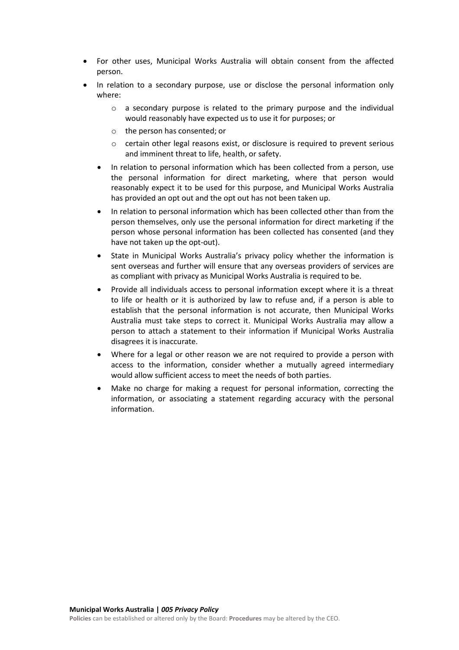- For other uses, Municipal Works Australia will obtain consent from the affected person.
- In relation to a secondary purpose, use or disclose the personal information only where:
	- $\circ$  a secondary purpose is related to the primary purpose and the individual would reasonably have expected us to use it for purposes; or
	- o the person has consented; or
	- o certain other legal reasons exist, or disclosure is required to prevent serious and imminent threat to life, health, or safety.
	- In relation to personal information which has been collected from a person, use the personal information for direct marketing, where that person would reasonably expect it to be used for this purpose, and Municipal Works Australia has provided an opt out and the opt out has not been taken up.
	- In relation to personal information which has been collected other than from the person themselves, only use the personal information for direct marketing if the person whose personal information has been collected has consented (and they have not taken up the opt-out).
	- State in Municipal Works Australia's privacy policy whether the information is sent overseas and further will ensure that any overseas providers of services are as compliant with privacy as Municipal Works Australia is required to be.
	- Provide all individuals access to personal information except where it is a threat to life or health or it is authorized by law to refuse and, if a person is able to establish that the personal information is not accurate, then Municipal Works Australia must take steps to correct it. Municipal Works Australia may allow a person to attach a statement to their information if Municipal Works Australia disagrees it is inaccurate.
	- Where for a legal or other reason we are not required to provide a person with access to the information, consider whether a mutually agreed intermediary would allow sufficient access to meet the needs of both parties.
	- Make no charge for making a request for personal information, correcting the information, or associating a statement regarding accuracy with the personal information.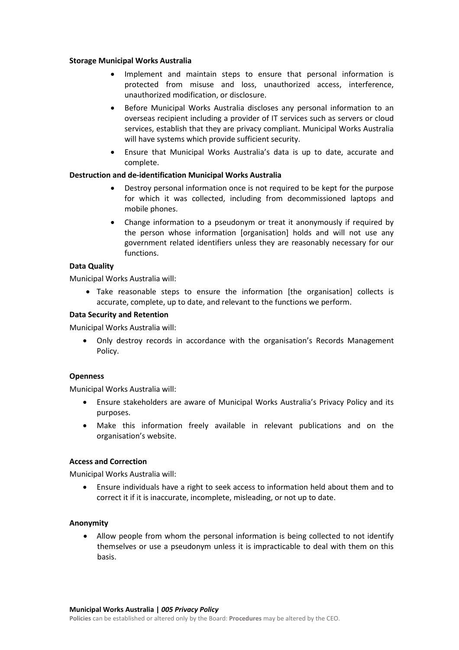#### **Storage Municipal Works Australia**

- Implement and maintain steps to ensure that personal information is protected from misuse and loss, unauthorized access, interference, unauthorized modification, or disclosure.
- Before Municipal Works Australia discloses any personal information to an overseas recipient including a provider of IT services such as servers or cloud services, establish that they are privacy compliant. Municipal Works Australia will have systems which provide sufficient security.
- Ensure that Municipal Works Australia's data is up to date, accurate and complete.

#### **Destruction and de-identification Municipal Works Australia**

- Destroy personal information once is not required to be kept for the purpose for which it was collected, including from decommissioned laptops and mobile phones.
- Change information to a pseudonym or treat it anonymously if required by the person whose information [organisation] holds and will not use any government related identifiers unless they are reasonably necessary for our functions.

#### **Data Quality**

Municipal Works Australia will:

• Take reasonable steps to ensure the information [the organisation] collects is accurate, complete, up to date, and relevant to the functions we perform.

#### **Data Security and Retention**

Municipal Works Australia will:

• Only destroy records in accordance with the organisation's Records Management Policy.

#### **Openness**

Municipal Works Australia will:

- Ensure stakeholders are aware of Municipal Works Australia's Privacy Policy and its purposes.
- Make this information freely available in relevant publications and on the organisation's website.

#### **Access and Correction**

Municipal Works Australia will:

• Ensure individuals have a right to seek access to information held about them and to correct it if it is inaccurate, incomplete, misleading, or not up to date.

#### **Anonymity**

• Allow people from whom the personal information is being collected to not identify themselves or use a pseudonym unless it is impracticable to deal with them on this basis.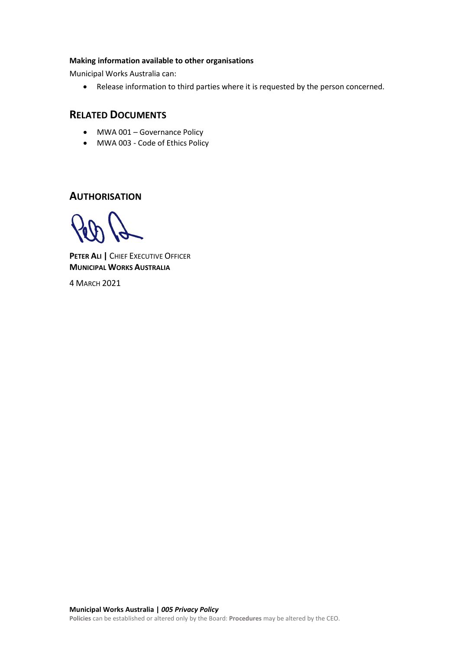#### **Making information available to other organisations**

Municipal Works Australia can:

• Release information to third parties where it is requested by the person concerned.

# **RELATED DOCUMENTS**

- MWA 001 Governance Policy
- MWA 003 Code of Ethics Policy

**AUTHORISATION**

**PETER ALI |** CHIEF EXECUTIVE OFFICER **MUNICIPAL WORKS AUSTRALIA**

4 MARCH 2021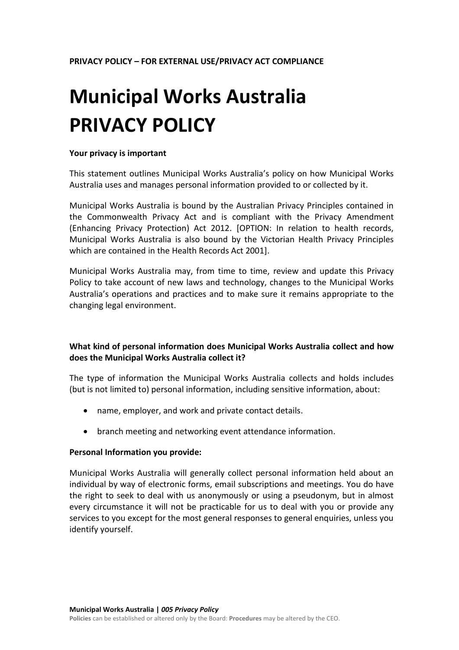# **Municipal Works Australia PRIVACY POLICY**

#### **Your privacy is important**

This statement outlines Municipal Works Australia's policy on how Municipal Works Australia uses and manages personal information provided to or collected by it.

Municipal Works Australia is bound by the Australian Privacy Principles contained in the Commonwealth Privacy Act and is compliant with the Privacy Amendment (Enhancing Privacy Protection) Act 2012. [OPTION: In relation to health records, Municipal Works Australia is also bound by the Victorian Health Privacy Principles which are contained in the Health Records Act 2001].

Municipal Works Australia may, from time to time, review and update this Privacy Policy to take account of new laws and technology, changes to the Municipal Works Australia's operations and practices and to make sure it remains appropriate to the changing legal environment.

# **What kind of personal information does Municipal Works Australia collect and how does the Municipal Works Australia collect it?**

The type of information the Municipal Works Australia collects and holds includes (but is not limited to) personal information, including sensitive information, about:

- name, employer, and work and private contact details.
- branch meeting and networking event attendance information.

#### **Personal Information you provide:**

Municipal Works Australia will generally collect personal information held about an individual by way of electronic forms, email subscriptions and meetings. You do have the right to seek to deal with us anonymously or using a pseudonym, but in almost every circumstance it will not be practicable for us to deal with you or provide any services to you except for the most general responses to general enquiries, unless you identify yourself.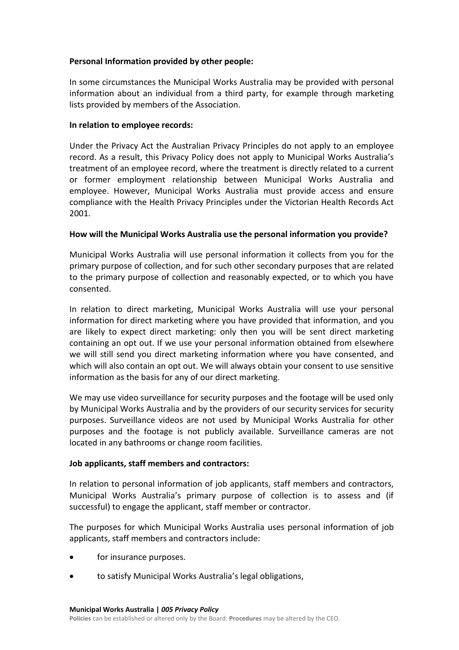# **Personal Information provided by other people:**

In some circumstances the Municipal Works Australia may be provided with personal information about an individual from a third party, for example through marketing lists provided by members of the Association.

# **In relation to employee records:**

Under the Privacy Act the Australian Privacy Principles do not apply to an employee record. As a result, this Privacy Policy does not apply to Municipal Works Australia's treatment of an employee record, where the treatment is directly related to a current or former employment relationship between Municipal Works Australia and employee. However, Municipal Works Australia must provide access and ensure compliance with the Health Privacy Principles under the Victorian Health Records Act 2001.

# **How will the Municipal Works Australia use the personal information you provide?**

Municipal Works Australia will use personal information it collects from you for the primary purpose of collection, and for such other secondary purposes that are related to the primary purpose of collection and reasonably expected, or to which you have consented.

In relation to direct marketing, Municipal Works Australia will use your personal information for direct marketing where you have provided that information, and you are likely to expect direct marketing: only then you will be sent direct marketing containing an opt out. If we use your personal information obtained from elsewhere we will still send you direct marketing information where you have consented, and which will also contain an opt out. We will always obtain your consent to use sensitive information as the basis for any of our direct marketing.

We may use video surveillance for security purposes and the footage will be used only by Municipal Works Australia and by the providers of our security services for security purposes. Surveillance videos are not used by Municipal Works Australia for other purposes and the footage is not publicly available. Surveillance cameras are not located in any bathrooms or change room facilities.

# **Job applicants, staff members and contractors:**

In relation to personal information of job applicants, staff members and contractors, Municipal Works Australia's primary purpose of collection is to assess and (if successful) to engage the applicant, staff member or contractor.

The purposes for which Municipal Works Australia uses personal information of job applicants, staff members and contractors include:

- for insurance purposes.
- to satisfy Municipal Works Australia's legal obligations,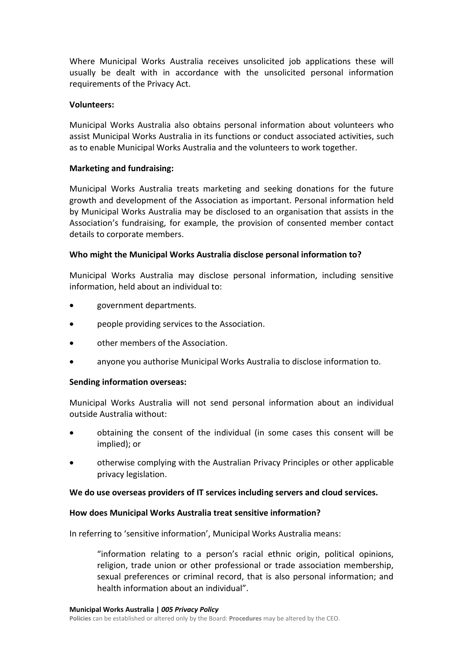Where Municipal Works Australia receives unsolicited job applications these will usually be dealt with in accordance with the unsolicited personal information requirements of the Privacy Act.

# **Volunteers:**

Municipal Works Australia also obtains personal information about volunteers who assist Municipal Works Australia in its functions or conduct associated activities, such as to enable Municipal Works Australia and the volunteers to work together.

# **Marketing and fundraising:**

Municipal Works Australia treats marketing and seeking donations for the future growth and development of the Association as important. Personal information held by Municipal Works Australia may be disclosed to an organisation that assists in the Association's fundraising, for example, the provision of consented member contact details to corporate members.

# **Who might the Municipal Works Australia disclose personal information to?**

Municipal Works Australia may disclose personal information, including sensitive information, held about an individual to:

- government departments.
- people providing services to the Association.
- other members of the Association.
- anyone you authorise Municipal Works Australia to disclose information to.

# **Sending information overseas:**

Municipal Works Australia will not send personal information about an individual outside Australia without:

- obtaining the consent of the individual (in some cases this consent will be implied); or
- otherwise complying with the Australian Privacy Principles or other applicable privacy legislation.

# **We do use overseas providers of IT services including servers and cloud services.**

# **How does Municipal Works Australia treat sensitive information?**

In referring to 'sensitive information', Municipal Works Australia means:

"information relating to a person's racial ethnic origin, political opinions, religion, trade union or other professional or trade association membership, sexual preferences or criminal record, that is also personal information; and health information about an individual".

**Policies** can be established or altered only by the Board: **Procedures** may be altered by the CEO.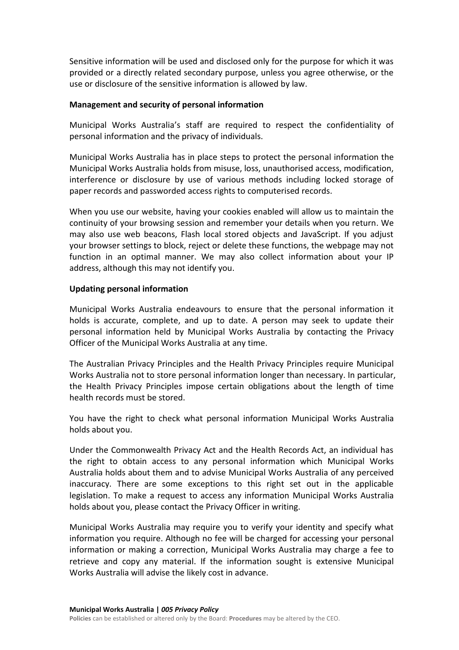Sensitive information will be used and disclosed only for the purpose for which it was provided or a directly related secondary purpose, unless you agree otherwise, or the use or disclosure of the sensitive information is allowed by law.

# **Management and security of personal information**

Municipal Works Australia's staff are required to respect the confidentiality of personal information and the privacy of individuals.

Municipal Works Australia has in place steps to protect the personal information the Municipal Works Australia holds from misuse, loss, unauthorised access, modification, interference or disclosure by use of various methods including locked storage of paper records and passworded access rights to computerised records.

When you use our website, having your cookies enabled will allow us to maintain the continuity of your browsing session and remember your details when you return. We may also use web beacons, Flash local stored objects and JavaScript. If you adjust your browser settings to block, reject or delete these functions, the webpage may not function in an optimal manner. We may also collect information about your IP address, although this may not identify you.

# **Updating personal information**

Municipal Works Australia endeavours to ensure that the personal information it holds is accurate, complete, and up to date. A person may seek to update their personal information held by Municipal Works Australia by contacting the Privacy Officer of the Municipal Works Australia at any time.

The Australian Privacy Principles and the Health Privacy Principles require Municipal Works Australia not to store personal information longer than necessary. In particular, the Health Privacy Principles impose certain obligations about the length of time health records must be stored.

You have the right to check what personal information Municipal Works Australia holds about you.

Under the Commonwealth Privacy Act and the Health Records Act, an individual has the right to obtain access to any personal information which Municipal Works Australia holds about them and to advise Municipal Works Australia of any perceived inaccuracy. There are some exceptions to this right set out in the applicable legislation. To make a request to access any information Municipal Works Australia holds about you, please contact the Privacy Officer in writing.

Municipal Works Australia may require you to verify your identity and specify what information you require. Although no fee will be charged for accessing your personal information or making a correction, Municipal Works Australia may charge a fee to retrieve and copy any material. If the information sought is extensive Municipal Works Australia will advise the likely cost in advance.